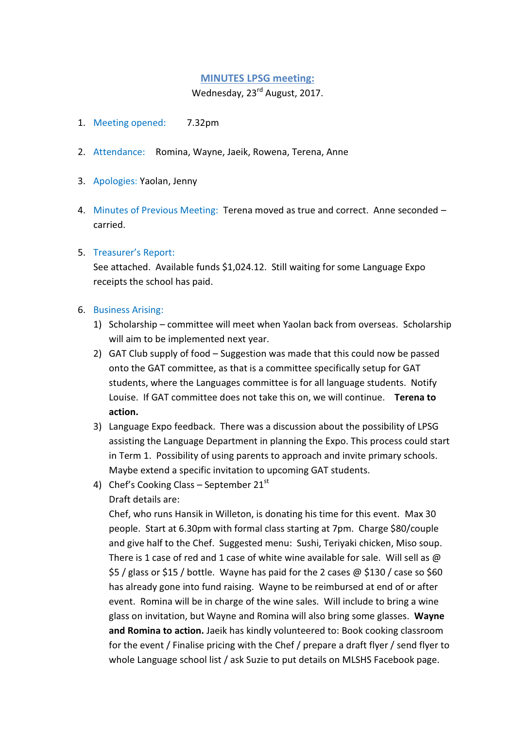## **MINUTES LPSG meeting:**

Wednesday, 23<sup>rd</sup> August, 2017.

- 1. Meeting opened: 7.32pm
- 2. Attendance: Romina, Wayne, Jaeik, Rowena, Terena, Anne
- 3. Apologies: Yaolan, Jenny
- 4. Minutes of Previous Meeting: Terena moved as true and correct. Anne seconded carried.

## 5. Treasurer's Report:

See attached. Available funds \$1,024.12. Still waiting for some Language Expo receipts the school has paid.

## 6. Business Arising:

- 1) Scholarship committee will meet when Yaolan back from overseas. Scholarship will aim to be implemented next year.
- 2) GAT Club supply of food Suggestion was made that this could now be passed onto the GAT committee, as that is a committee specifically setup for GAT students, where the Languages committee is for all language students. Notify Louise. If GAT committee does not take this on, we will continue. **Terena to action.**
- 3) Language Expo feedback. There was a discussion about the possibility of LPSG assisting the Language Department in planning the Expo. This process could start in Term 1. Possibility of using parents to approach and invite primary schools. Maybe extend a specific invitation to upcoming GAT students.
- 4) Chef's Cooking Class September  $21<sup>st</sup>$ 
	- Draft details are:

Chef, who runs Hansik in Willeton, is donating his time for this event. Max 30 people. Start at 6.30pm with formal class starting at 7pm. Charge \$80/couple and give half to the Chef. Suggested menu: Sushi, Teriyaki chicken, Miso soup. There is 1 case of red and 1 case of white wine available for sale. Will sell as  $\omega$ \$5 / glass or \$15 / bottle. Wayne has paid for the 2 cases @ \$130 / case so \$60 has already gone into fund raising. Wayne to be reimbursed at end of or after event. Romina will be in charge of the wine sales. Will include to bring a wine glass on invitation, but Wayne and Romina will also bring some glasses. **Wayne and Romina to action.** Jaeik has kindly volunteered to: Book cooking classroom for the event / Finalise pricing with the Chef / prepare a draft flyer / send flyer to whole Language school list / ask Suzie to put details on MLSHS Facebook page.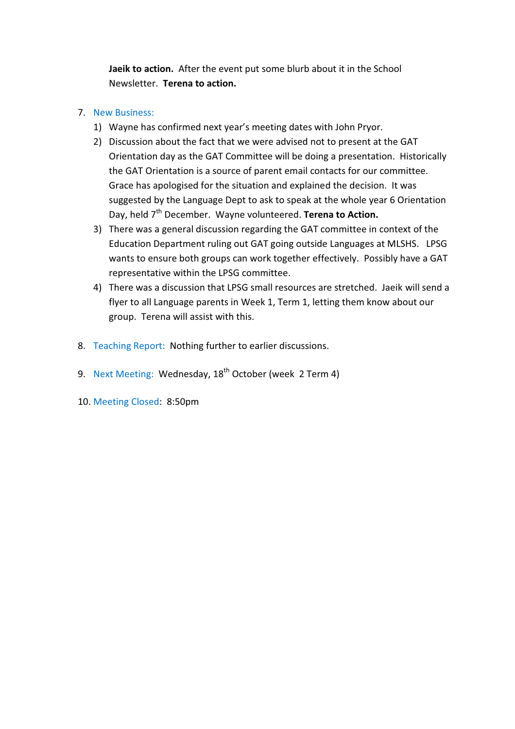**Jaeik to action.** After the event put some blurb about it in the School Newsletter. **Terena to action.** 

## 7. New Business:

- 1) Wayne has confirmed next year's meeting dates with John Pryor.
- 2) Discussion about the fact that we were advised not to present at the GAT Orientation day as the GAT Committee will be doing a presentation. Historically the GAT Orientation is a source of parent email contacts for our committee. Grace has apologised for the situation and explained the decision. It was suggested by the Language Dept to ask to speak at the whole year 6 Orientation Day, held 7<sup>th</sup> December. Wayne volunteered. **Terena to Action.**
- 3) There was a general discussion regarding the GAT committee in context of the Education Department ruling out GAT going outside Languages at MLSHS. LPSG wants to ensure both groups can work together effectively. Possibly have a GAT representative within the LPSG committee.
- 4) There was a discussion that LPSG small resources are stretched. Jaeik will send a flyer to all Language parents in Week 1, Term 1, letting them know about our group. Terena will assist with this.
- 8. Teaching Report: Nothing further to earlier discussions.
- 9. Next Meeting: Wednesday, 18<sup>th</sup> October (week 2 Term 4)
- 10. Meeting Closed: 8:50pm